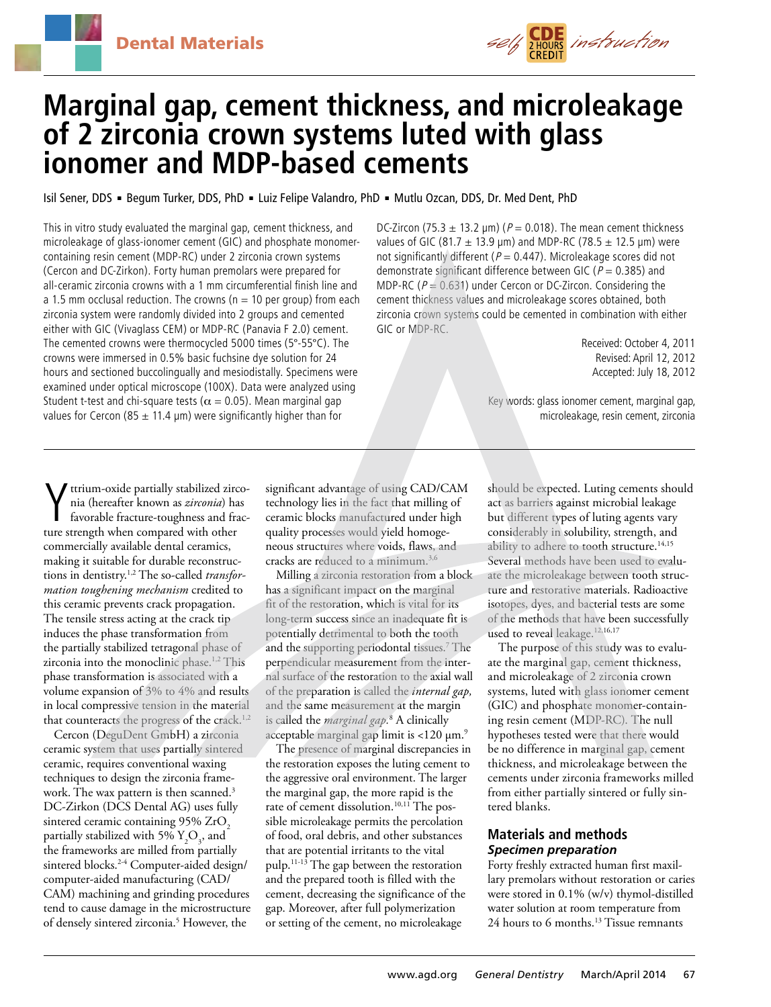

# **Marginal gap, cement thickness, and microleakage of 2 zirconia crown systems luted with glass ionomer and MDP-based cements**

Isil Sener, DDS · Begum Turker, DDS, PhD · Luiz Felipe Valandro, PhD · Mutlu Ozcan, DDS, Dr. Med Dent, PhD

This in vitro study evaluated the marginal gap, cement thickness, and microleakage of glass-ionomer cement (GIC) and phosphate monomercontaining resin cement (MDP-RC) under 2 zirconia crown systems (Cercon and DC-Zirkon). Forty human premolars were prepared for all-ceramic zirconia crowns with a 1 mm circumferential finish line and a 1.5 mm occlusal reduction. The crowns ( $n = 10$  per group) from each zirconia system were randomly divided into 2 groups and cemented either with GIC (Vivaglass CEM) or MDP-RC (Panavia F 2.0) cement. The cemented crowns were thermocycled 5000 times (5°-55°C). The crowns were immersed in 0.5% basic fuchsine dye solution for 24 hours and sectioned buccolingually and mesiodistally. Specimens were examined under optical microscope (100X). Data were analyzed using Student t-test and chi-square tests ( $\alpha$  = 0.05). Mean marginal gap values for Cercon (85  $\pm$  11.4 µm) were significantly higher than for

DC-Zircon (75.3  $\pm$  13.2 µm) ( $P = 0.018$ ). The mean cement thickness values of GIC (81.7  $\pm$  13.9 µm) and MDP-RC (78.5  $\pm$  12.5 µm) were not significantly different ( $P = 0.447$ ). Microleakage scores did not demonstrate significant difference between GIC ( $P = 0.385$ ) and MDP-RC ( $P = 0.631$ ) under Cercon or DC-Zircon. Considering the cement thickness values and microleakage scores obtained, both zirconia crown systems could be cemented in combination with either GIC or MDP-RC.

> Received: October 4, 2011 Revised: April 12, 2012 Accepted: July 18, 2012

Key words: glass ionomer cement, marginal gap, microleakage, resin cement, zirconia

**V** ttrium-oxide partially stabilized zirc<br>nia (hereafter known as *zirconia*) ha<br>favorable fracture-toughness and fra<br>ture strength when compared with other ttrium-oxide partially stabilized zirconia (hereafter known as *zirconia*) has favorable fracture-toughness and fraccommercially available dental ceramics, making it suitable for durable reconstructions in dentistry.1,2 The so-called *transformation toughening mechanism* credited to this ceramic prevents crack propagation. The tensile stress acting at the crack tip induces the phase transformation from the partially stabilized tetragonal phase of zirconia into the monoclinic phase.<sup>1,2</sup> This phase transformation is associated with a volume expansion of 3% to 4% and results in local compressive tension in the material that counteracts the progress of the crack.<sup>1,2</sup>

Cercon (DeguDent GmbH) a zirconia ceramic system that uses partially sintered ceramic, requires conventional waxing techniques to design the zirconia framework. The wax pattern is then scanned.<sup>3</sup> DC-Zirkon (DCS Dental AG) uses fully sintered ceramic containing  $95\%$  ZrO<sub>2</sub> partially stabilized with 5%  ${\rm Y_{_2}O_{_3}}$ , and the frameworks are milled from partially sintered blocks.2-4 Computer-aided design/ computer-aided manufacturing (CAD/ CAM) machining and grinding procedures tend to cause damage in the microstructure of densely sintered zirconia.5 However, the

significant advantage of using CAD/CAM technology lies in the fact that milling of ceramic blocks manufactured under high quality processes would yield homogeneous structures where voids, flaws, and cracks are reduced to a minimum.3,6

Milling a zirconia restoration from a block has a significant impact on the marginal fit of the restoration, which is vital for its long-term success since an inadequate fit is potentially detrimental to both the tooth and the supporting periodontal tissues.7 The perpendicular measurement from the internal surface of the restoration to the axial wall of the preparation is called the *internal gap,* and the same measurement at the margin is called the *marginal gap.*<sup>8</sup> A clinically acceptable marginal gap limit is  $<$ 120  $\mu$ m.<sup>9</sup>

The presence of marginal discrepancies in the restoration exposes the luting cement to the aggressive oral environment. The larger the marginal gap, the more rapid is the rate of cement dissolution.<sup>10,11</sup> The possible microleakage permits the percolation of food, oral debris, and other substances that are potential irritants to the vital pulp.11-13 The gap between the restoration and the prepared tooth is filled with the cement, decreasing the significance of the gap. Moreover, after full polymerization or setting of the cement, no microleakage

should be expected. Luting cements should act as barriers against microbial leakage but different types of luting agents vary considerably in solubility, strength, and ability to adhere to tooth structure.<sup>14,15</sup> Several methods have been used to evaluate the microleakage between tooth structure and restorative materials. Radioactive isotopes, dyes, and bacterial tests are some of the methods that have been successfully used to reveal leakage.<sup>12,16,17</sup>

The purpose of this study was to evaluate the marginal gap, cement thickness, and microleakage of 2 zirconia crown systems, luted with glass ionomer cement (GIC) and phosphate monomer-containing resin cement (MDP-RC). The null hypotheses tested were that there would be no difference in marginal gap, cement thickness, and microleakage between the cements under zirconia frameworks milled from either partially sintered or fully sintered blanks.

## **Materials and methods** *Specimen preparation*

Forty freshly extracted human first maxillary premolars without restoration or caries were stored in 0.1% (w/v) thymol-distilled water solution at room temperature from 24 hours to 6 months.13 Tissue remnants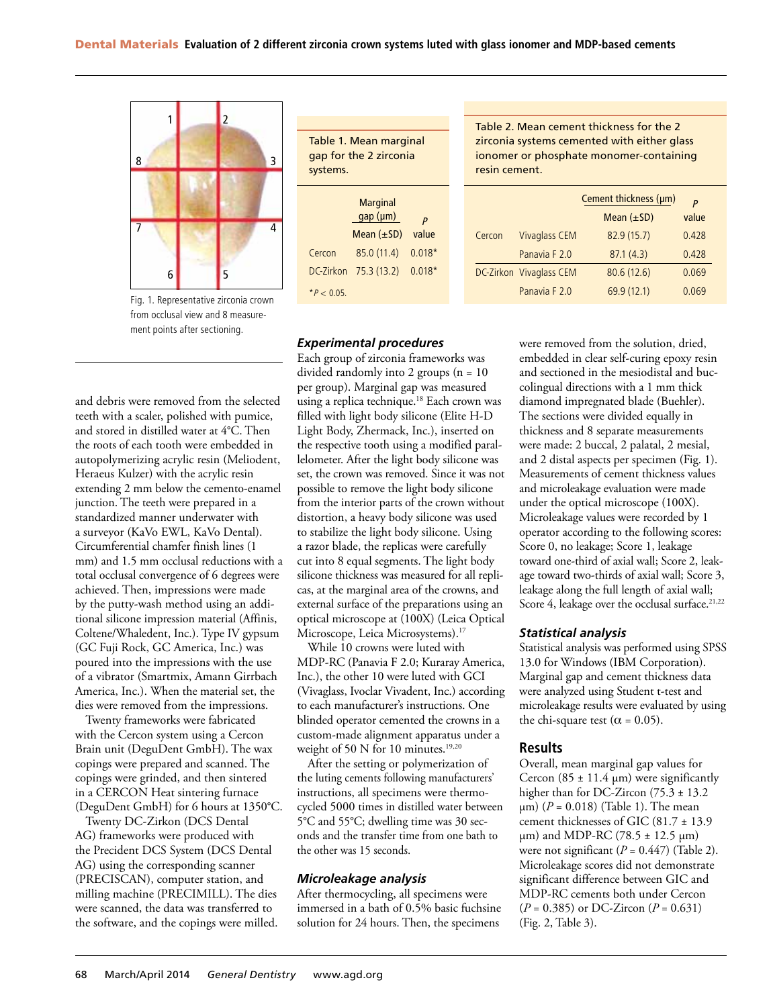

Fig. 1. Representative zirconia crown from occlusal view and 8 measurement points after sectioning.

and debris were removed from the selected teeth with a scaler, polished with pumice, and stored in distilled water at 4°C. Then the roots of each tooth were embedded in autopolymerizing acrylic resin (Meliodent, Heraeus Kulzer) with the acrylic resin extending 2 mm below the cemento-enamel junction. The teeth were prepared in a standardized manner underwater with a surveyor (KaVo EWL, KaVo Dental). Circumferential chamfer finish lines (1 mm) and 1.5 mm occlusal reductions with a total occlusal convergence of 6 degrees were achieved. Then, impressions were made by the putty-wash method using an additional silicone impression material (Affinis, Coltene/Whaledent, Inc.). Type IV gypsum (GC Fuji Rock, GC America, Inc.) was poured into the impressions with the use of a vibrator (Smartmix, Amann Girrbach America, Inc.). When the material set, the dies were removed from the impressions.

Twenty frameworks were fabricated with the Cercon system using a Cercon Brain unit (DeguDent GmbH). The wax copings were prepared and scanned. The copings were grinded, and then sintered in a CERCON Heat sintering furnace (DeguDent GmbH) for 6 hours at 1350°C.

Twenty DC-Zirkon (DCS Dental AG) frameworks were produced with the Precident DCS System (DCS Dental AG) using the corresponding scanner (PRECISCAN), computer station, and milling machine (PRECIMILL). The dies were scanned, the data was transferred to the software, and the copings were milled. Table 1. Mean marginal gap for the 2 zirconia systems.

|             | <b>Marginal</b><br>gap (µm) | p        |  |
|-------------|-----------------------------|----------|--|
|             | Mean $(\pm SD)$             | value    |  |
| Cercon      | 85.0 (11.4)                 | $0.018*$ |  |
| DC-Zirkon   | 75.3(13.2)                  | $0.018*$ |  |
| $*P < 0.05$ |                             |          |  |

#### *Experimental procedures*

Each group of zirconia frameworks was divided randomly into 2 groups (n = 10 per group). Marginal gap was measured using a replica technique.<sup>18</sup> Each crown was filled with light body silicone (Elite H-D Light Body, Zhermack, Inc.), inserted on the respective tooth using a modified parallelometer. After the light body silicone was set, the crown was removed. Since it was not possible to remove the light body silicone from the interior parts of the crown without distortion, a heavy body silicone was used to stabilize the light body silicone. Using a razor blade, the replicas were carefully cut into 8 equal segments. The light body silicone thickness was measured for all replicas, at the marginal area of the crowns, and external surface of the preparations using an optical microscope at (100X) (Leica Optical Microscope, Leica Microsystems).<sup>17</sup>

While 10 crowns were luted with MDP-RC (Panavia F 2.0; Kuraray America, Inc.), the other 10 were luted with GCI (Vivaglass, Ivoclar Vivadent, Inc.) according to each manufacturer's instructions. One blinded operator cemented the crowns in a custom-made alignment apparatus under a weight of 50 N for 10 minutes.<sup>19,20</sup>

After the setting or polymerization of the luting cements following manufacturers' instructions, all specimens were thermocycled 5000 times in distilled water between 5°C and 55°C; dwelling time was 30 seconds and the transfer time from one bath to the other was 15 seconds.

#### *Microleakage analysis*

After thermocycling, all specimens were immersed in a bath of 0.5% basic fuchsine solution for 24 hours. Then, the specimens

Table 2. Mean cement thickness for the 2 zirconia systems cemented with either glass ionomer or phosphate monomer-containing resin cement.

|        | Cement thickness (µm)   |                 | P     |
|--------|-------------------------|-----------------|-------|
|        |                         | Mean $(\pm SD)$ | value |
| Cercon | <b>Vivaglass CEM</b>    | 82.9 (15.7)     | 0.428 |
|        | Panavia F 2.0           | 87.1(4.3)       | 0.428 |
|        | DC-Zirkon Vivaglass CEM | 80.6(12.6)      | 0.069 |
|        | Panavia F 2.0           | 69.9 (12.1)     | 0.069 |

were removed from the solution, dried, embedded in clear self-curing epoxy resin and sectioned in the mesiodistal and buccolingual directions with a 1 mm thick diamond impregnated blade (Buehler). The sections were divided equally in thickness and 8 separate measurements were made: 2 buccal, 2 palatal, 2 mesial, and 2 distal aspects per specimen (Fig. 1). Measurements of cement thickness values and microleakage evaluation were made under the optical microscope (100X). Microleakage values were recorded by 1 operator according to the following scores: Score 0, no leakage; Score 1, leakage toward one-third of axial wall; Score 2, leakage toward two-thirds of axial wall; Score 3, leakage along the full length of axial wall; Score 4, leakage over the occlusal surface.<sup>21,22</sup>

#### *Statistical analysis*

Statistical analysis was performed using SPSS 13.0 for Windows (IBM Corporation). Marginal gap and cement thickness data were analyzed using Student t-test and microleakage results were evaluated by using the chi-square test ( $\alpha$  = 0.05).

#### **Results**

Overall, mean marginal gap values for Cercon  $(85 \pm 11.4 \text{ µm})$  were significantly higher than for DC-Zircon (75.3 ± 13.2 µm) (*P* = 0.018) (Table 1). The mean cement thicknesses of GIC (81.7 ± 13.9 µm) and MDP-RC (78.5 ± 12.5 µm) were not significant  $(P = 0.447)$  (Table 2). Microleakage scores did not demonstrate significant difference between GIC and MDP-RC cements both under Cercon (*P* = 0.385) or DC-Zircon (*P* = 0.631) (Fig. 2, Table 3).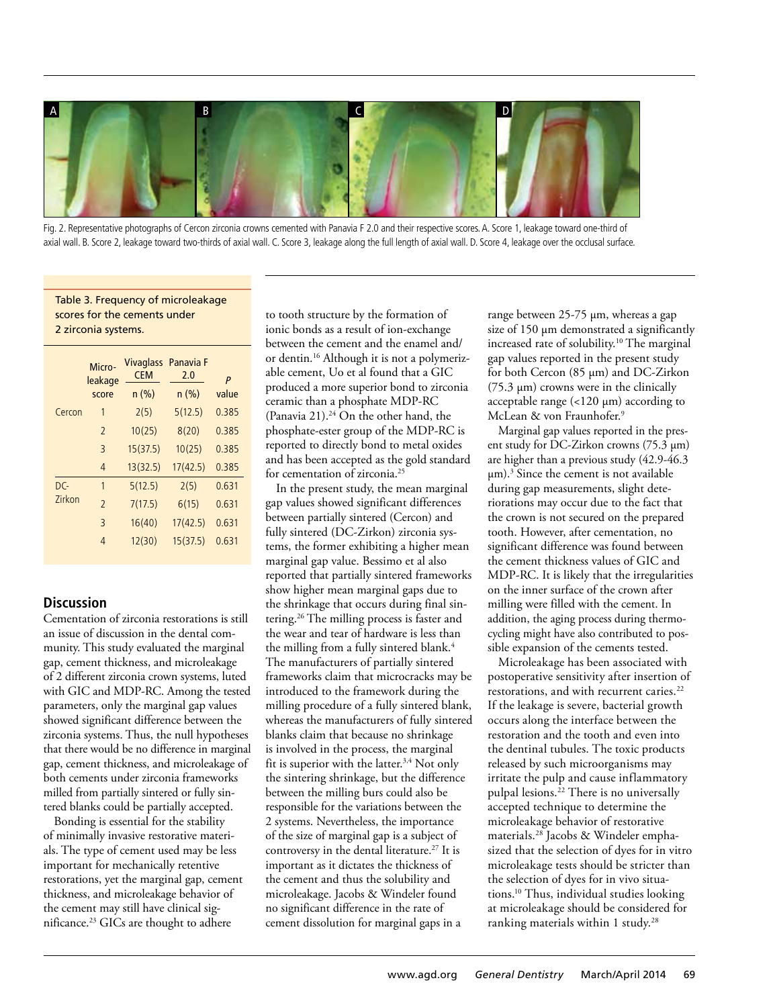

Fig. 2. Representative photographs of Cercon zirconia crowns cemented with Panavia F 2.0 and their respective scores. A. Score 1, leakage toward one-third of axial wall. B. Score 2, leakage toward two-thirds of axial wall. C. Score 3, leakage along the full length of axial wall. D. Score 4, leakage over the occlusal surface.

Table 3. Frequency of microleakage scores for the cements under 2 zirconia systems.

|                      | Micro-<br>leakage<br>score | <b>CEM</b><br>n (%) | Vivaglass Panavia F<br>2.0<br>n(%) | P<br>value |
|----------------------|----------------------------|---------------------|------------------------------------|------------|
| Cercon               | 1                          | 2(5)                | 5(12.5)                            | 0.385      |
|                      | $\overline{2}$             | 10(25)              | 8(20)                              | 0.385      |
|                      | 3                          | 15(37.5)            | 10(25)                             | 0.385      |
|                      | $\overline{4}$             | 13(32.5)            | 17(42.5)                           | 0.385      |
| DC-<br><b>7irkon</b> | 1                          | 5(12.5)             | 2(5)                               | 0.631      |
|                      | $\overline{2}$             | 7(17.5)             | 6(15)                              | 0.631      |
|                      | 3                          | 16(40)              | 17(42.5)                           | 0.631      |
|                      | 4                          | 12(30)              | 15(37.5)                           | 0.631      |

## **Discussion**

Cementation of zirconia restorations is still an issue of discussion in the dental community. This study evaluated the marginal gap, cement thickness, and microleakage of 2 different zirconia crown systems, luted with GIC and MDP-RC. Among the tested parameters, only the marginal gap values showed significant difference between the zirconia systems. Thus, the null hypotheses that there would be no difference in marginal gap, cement thickness, and microleakage of both cements under zirconia frameworks milled from partially sintered or fully sintered blanks could be partially accepted.

Bonding is essential for the stability of minimally invasive restorative materials. The type of cement used may be less important for mechanically retentive restorations, yet the marginal gap, cement thickness, and microleakage behavior of the cement may still have clinical significance.23 GICs are thought to adhere

to tooth structure by the formation of ionic bonds as a result of ion-exchange between the cement and the enamel and/ or dentin.16 Although it is not a polymerizable cement, Uo et al found that a GIC produced a more superior bond to zirconia ceramic than a phosphate MDP-RC (Panavia 21).<sup>24</sup> On the other hand, the phosphate-ester group of the MDP-RC is reported to directly bond to metal oxides and has been accepted as the gold standard for cementation of zirconia.<sup>25</sup>

In the present study, the mean marginal gap values showed significant differences between partially sintered (Cercon) and fully sintered (DC-Zirkon) zirconia systems, the former exhibiting a higher mean marginal gap value. Bessimo et al also reported that partially sintered frameworks show higher mean marginal gaps due to the shrinkage that occurs during final sintering.26 The milling process is faster and the wear and tear of hardware is less than the milling from a fully sintered blank.<sup>4</sup> The manufacturers of partially sintered frameworks claim that microcracks may be introduced to the framework during the milling procedure of a fully sintered blank, whereas the manufacturers of fully sintered blanks claim that because no shrinkage is involved in the process, the marginal fit is superior with the latter.<sup>3,4</sup> Not only the sintering shrinkage, but the difference between the milling burs could also be responsible for the variations between the 2 systems. Nevertheless, the importance of the size of marginal gap is a subject of controversy in the dental literature.<sup>27</sup> It is important as it dictates the thickness of the cement and thus the solubility and microleakage. Jacobs & Windeler found no significant difference in the rate of cement dissolution for marginal gaps in a

range between 25-75 µm, whereas a gap size of 150 µm demonstrated a significantly increased rate of solubility.<sup>10</sup> The marginal gap values reported in the present study for both Cercon (85 µm) and DC-Zirkon (75.3 µm) crowns were in the clinically acceptable range (<120 µm) according to McLean & von Fraunhofer.<sup>9</sup>

Marginal gap values reported in the present study for DC-Zirkon crowns (75.3 µm) are higher than a previous study (42.9-46.3 µm).3 Since the cement is not available during gap measurements, slight deteriorations may occur due to the fact that the crown is not secured on the prepared tooth. However, after cementation, no significant difference was found between the cement thickness values of GIC and MDP-RC. It is likely that the irregularities on the inner surface of the crown after milling were filled with the cement. In addition, the aging process during thermocycling might have also contributed to possible expansion of the cements tested.

Microleakage has been associated with postoperative sensitivity after insertion of restorations, and with recurrent caries.<sup>22</sup> If the leakage is severe, bacterial growth occurs along the interface between the restoration and the tooth and even into the dentinal tubules. The toxic products released by such microorganisms may irritate the pulp and cause inflammatory pulpal lesions.<sup>22</sup> There is no universally accepted technique to determine the microleakage behavior of restorative materials.28 Jacobs & Windeler emphasized that the selection of dyes for in vitro microleakage tests should be stricter than the selection of dyes for in vivo situations.10 Thus, individual studies looking at microleakage should be considered for ranking materials within 1 study.<sup>28</sup>